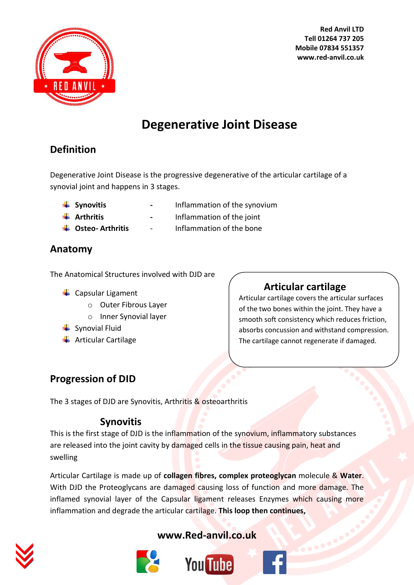

# **Degenerative Joint Disease**

# **Definition**

Degenerative Joint Disease is the progressive degenerative of the articular cartilage of a synovial joint and happens in 3 stages.

- 
- **Synovitis Figure 1 Inflammation of the synovium**
- 
- **Arthritis -** Inflammation of the joint **Osteo- Arthritis** - Inflammation of the bone
- 

### **Anatomy**

The Anatomical Structures involved with DJD are

- $\leftarrow$  Capsular Ligament
	- o Outer Fibrous Layer
	- o Inner Synovial layer
- $\frac{1}{2}$  Synovial Fluid
- $\leftarrow$  Articular Cartilage

# **Articular cartilage**

Articular cartilage covers the articular surfaces of the two bones within the joint. They have a smooth soft consistency which reduces friction, absorbs concussion and withstand compression. The cartilage cannot regenerate if damaged.

# **Progression of DID**

The 3 stages of DJD are Synovitis, Arthritis & osteoarthritis

# **Synovitis**

This is the first stage of DJD is the inflammation of the synovium, inflammatory substances are released into the joint cavity by damaged cells in the tissue causing pain, heat and swelling

Articular Cartilage is made up of **collagen fibres, complex proteoglycan** molecule & **Water**. With DJD the Proteoglycans are damaged causing loss of function and more damage. The inflamed synovial layer of the Capsular ligament releases Enzymes which causing more inflammation and degrade the articular cartilage. **This loop then continues,** 





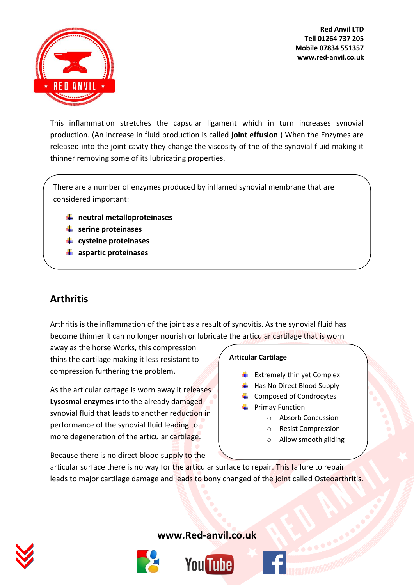

This inflammation stretches the capsular ligament which in turn increases synovial production. (An increase in fluid production is called **joint effusion** ) When the Enzymes are released into the joint cavity they change the viscosity of the of the synovial fluid making it thinner removing some of its lubricating properties.

There are a number of enzymes produced by inflamed synovial membrane that are considered important:

- **neutral metalloproteinases**
- **serine proteinases**
- **cysteine proteinases**
- **aspartic proteinases**

# **Arthritis**

Arthritis is the inflammation of the joint as a result of synovitis. As the synovial fluid has become thinner it can no longer nourish or lubricate the articular cartilage that is worn

away as the horse Works, this compression thins the cartilage making it less resistant to compression furthering the problem.

As the articular cartage is worn away it releases **Lysosmal enzymes** into the already damaged synovial fluid that leads to another reduction in performance of the synovial fluid leading to more degeneration of the articular cartilage.

Because there is no direct blood supply to the

#### **Articular Cartilage**

- $\bigstar$  Extremely thin yet Complex
- $\bigstar$  Has No Direct Blood Supply
- $\leftarrow$  Composed of Condrocytes
- $\leftarrow$  Primay Function
	- o Absorb Concussion
	- o Resist Compression
	- o Allow smooth gliding

articular surface there is no way for the articular surface to repair. This failure to repair leads to major cartilage damage and leads to bony changed of the joint called Osteoarthritis.





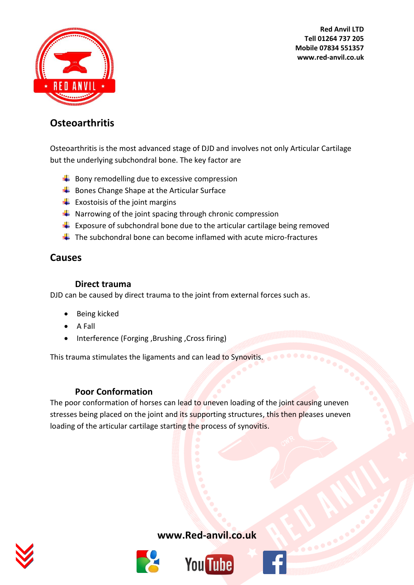

### **Osteoarthritis**

Osteoarthritis is the most advanced stage of DJD and involves not only Articular Cartilage but the underlying subchondral bone. The key factor are

- $\bigstar$  Bony remodelling due to excessive compression
- $\overline{\phantom{a}}$  Bones Change Shape at the Articular Surface
- $\bigcup$  Exostoisis of the joint margins
- $\frac{1}{\sqrt{1}}$  Narrowing of the joint spacing through chronic compression
- **Exposure of subchondral bone due to the articular cartilage being removed**
- $\downarrow$  The subchondral bone can become inflamed with acute micro-fractures

### **Causes**

#### **Direct trauma**

DJD can be caused by direct trauma to the joint from external forces such as.

- Being kicked
- $\bullet$  A Fall
- Interference (Forging ,Brushing ,Cross firing)

This trauma stimulates the ligaments and can lead to Synovitis.

#### **Poor Conformation**

The poor conformation of horses can lead to uneven loading of the joint causing uneven stresses being placed on the joint and its supporting structures, this then pleases uneven loading of the articular cartilage starting the process of synovitis.





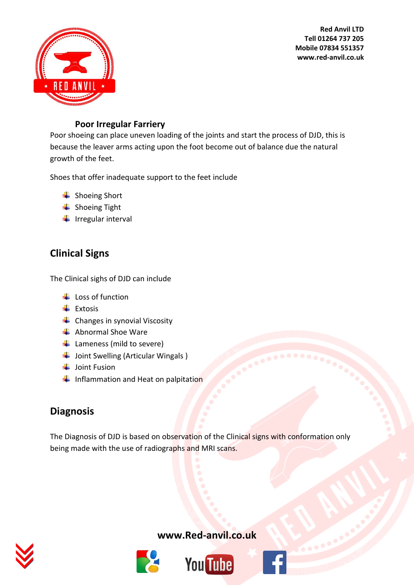

#### **Poor Irregular Farriery**

Poor shoeing can place uneven loading of the joints and start the process of DJD, this is because the leaver arms acting upon the foot become out of balance due the natural growth of the feet.

Shoes that offer inadequate support to the feet include

- **↓** Shoeing Short
- $\frac{1}{\sqrt{2}}$  Shoeing Tight
- $\frac{1}{\sqrt{2}}$  Irregular interval

# **Clinical Signs**

The Clinical sighs of DJD can include

- $\downarrow$  Loss of function
- $\overline{\phantom{a}}$  Extosis
- $\leftarrow$  Changes in synovial Viscosity
- $\triangleq$  Abnormal Shoe Ware
- $\bigstar$  Lameness (mild to severe)
- $\frac{1}{\sqrt{2}}$  Joint Swelling (Articular Wingals )
- $\downarrow$  Joint Fusion
- $\blacksquare$  Inflammation and Heat on palpitation

# **Diagnosis**

The Diagnosis of DJD is based on observation of the Clinical signs with conformation only being made with the use of radiographs and MRI scans.







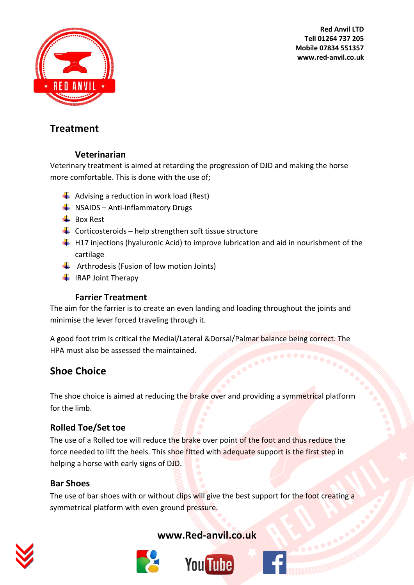

### **Treatment**

#### **Veterinarian**

Veterinary treatment is aimed at retarding the progression of DJD and making the horse more comfortable. This is done with the use of;

- $\bigstar$  Advising a reduction in work load (Rest)
- $\bigstar$  NSAIDS Anti-inflammatory Drugs
- $\overline{\phantom{a}}$  Box Rest
- $\downarrow$  Corticosteroids help strengthen soft tissue structure
- $\downarrow$  H17 injections (hyaluronic Acid) to improve lubrication and aid in nourishment of the cartilage
- $\downarrow$  Arthrodesis (Fusion of low motion Joints)
- $\ddot{\phantom{1}}$  IRAP Joint Therapy

#### **Farrier Treatment**

The aim for the farrier is to create an even landing and loading throughout the joints and minimise the lever forced traveling through it.

A good foot trim is critical the Medial/Lateral &Dorsal/Palmar balance being correct. The HPA must also be assessed the maintained.

# **Shoe Choice**

The shoe choice is aimed at reducing the brake over and providing a symmetrical platform for the limb.

### **Rolled Toe/Set toe**

The use of a Rolled toe will reduce the brake over point of the foot and thus reduce the force needed to lift the heels. This shoe fitted with adequate support is the first step in helping a horse with early signs of DJD.

### **Bar Shoes**

The use of bar shoes with or without clips will give the best support for the foot creating a symmetrical platform with even ground pressure.